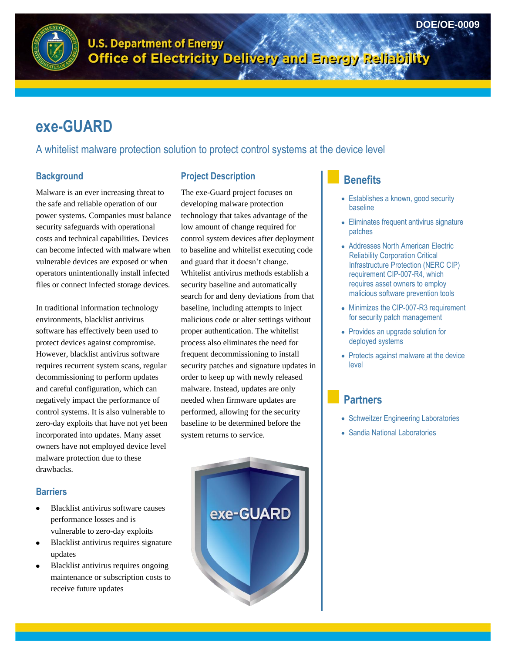



**U.S. Department of Energy** o.s. bepartment of Electricity Delivery and Energy Reliability

# **exe-GUARD**

A whitelist malware protection solution to protect control systems at the device level

### **Background**

Malware is an ever increasing threat to the safe and reliable operation of our power systems. Companies must balance security safeguards with operational costs and technical capabilities. Devices can become infected with malware when vulnerable devices are exposed or when operators unintentionally install infected files or connect infected storage devices.

In traditional information technology environments, blacklist antivirus software has effectively been used to protect devices against compromise. However, blacklist antivirus software requires recurrent system scans, regular decommissioning to perform updates and careful configuration, which can negatively impact the performance of control systems. It is also vulnerable to zero-day exploits that have not yet been incorporated into updates. Many asset owners have not employed device level malware protection due to these drawbacks.

### **Barriers**

- Blacklist antivirus software causes performance losses and is vulnerable to zero-day exploits
- Blacklist antivirus requires signature updates
- Blacklist antivirus requires ongoing maintenance or subscription costs to receive future updates

## **Project Description**

The exe-Guard project focuses on developing malware protection technology that takes advantage of the low amount of change required for control system devices after deployment to baseline and whitelist executing code and guard that it doesn't change. Whitelist antivirus methods establish a security baseline and automatically search for and deny deviations from that baseline, including attempts to inject malicious code or alter settings without proper authentication. The whitelist process also eliminates the need for frequent decommissioning to install security patches and signature updates in order to keep up with newly released malware. Instead, updates are only needed when firmware updates are performed, allowing for the security baseline to be determined before the system returns to service.



## **Benefits**

- Establishes a known, good security baseline
- Eliminates frequent antivirus signature patches
- Addresses North American Electric Reliability Corporation Critical Infrastructure Protection (NERC CIP) requirement CIP-007-R4, which requires asset owners to employ malicious software prevention tools
- Minimizes the CIP-007-R3 requirement for security patch management
- Provides an upgrade solution for deployed systems
- Protects against malware at the device level

## **Partners**

- Schweitzer Engineering Laboratories
- Sandia National Laboratories